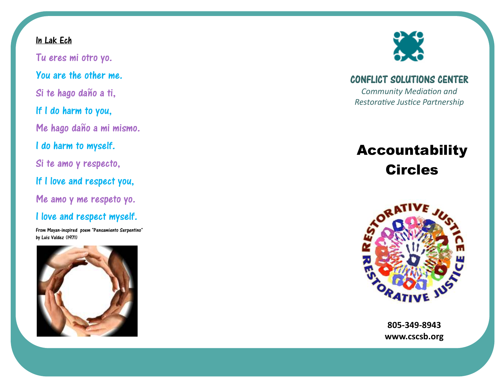## In Lak Ech

Tu eres mi otro yo. You are the other me. Si te hago daño a ti, If I do harm to you, Me hago daño a mi mismo.I do harm to myself. Si te amo y respecto,If I love and respect you, Me amo y me respeto yo. I love and respect myself.

From Mayan-inspired poem "Pensamiento Serpentino" by Luis Valdez (1971)





CONFLICT SOLUTIONS CENTER

*Community Mediation and* **Restorative Justice Partnership** 

## Accountability **Circles**



**805-349-8943 www.cscsb.org**